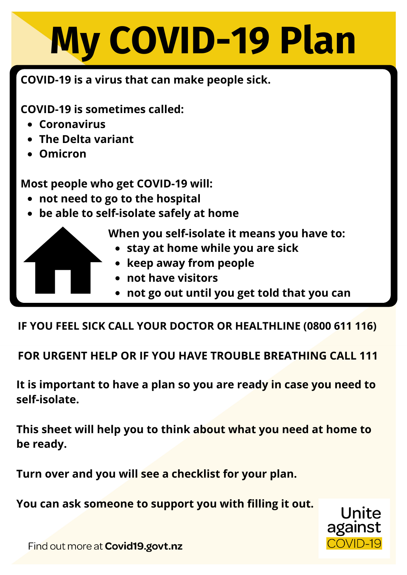## **My COVID-19 Plan**

## **COVID-19 is a virus that can make people sick.**

**COVID-19 is sometimes called:**

- **Coronavirus**
- **The Delta variant**
- **Omicron**

**Most people who get COVID-19 will:**

- **not need to go to the hospital**
- **be able to self-isolate safely at home**

**When you self-isolate it means you have to:**

- **stay at home while you are sick**
- **keep away from people**
- **not have visitors**
- **not go out until you get told that you can**

**IF YOU FEEL SICK CALL YOUR DOCTOR OR HEALTHLINE (0800 611 116)**

**FOR URGENT HELP OR IF YOU HAVE TROUBLE BREATHING CALL 111**

**It is important to have a plan so you are ready in case you need to self-isolate.**

**This sheet will help you to think about what you need at home to be ready.**

**Turn over and you will see a checklist for your plan.**

**You can ask someone to support you with filling it out.**



Find out more at Covid19.govt.nz